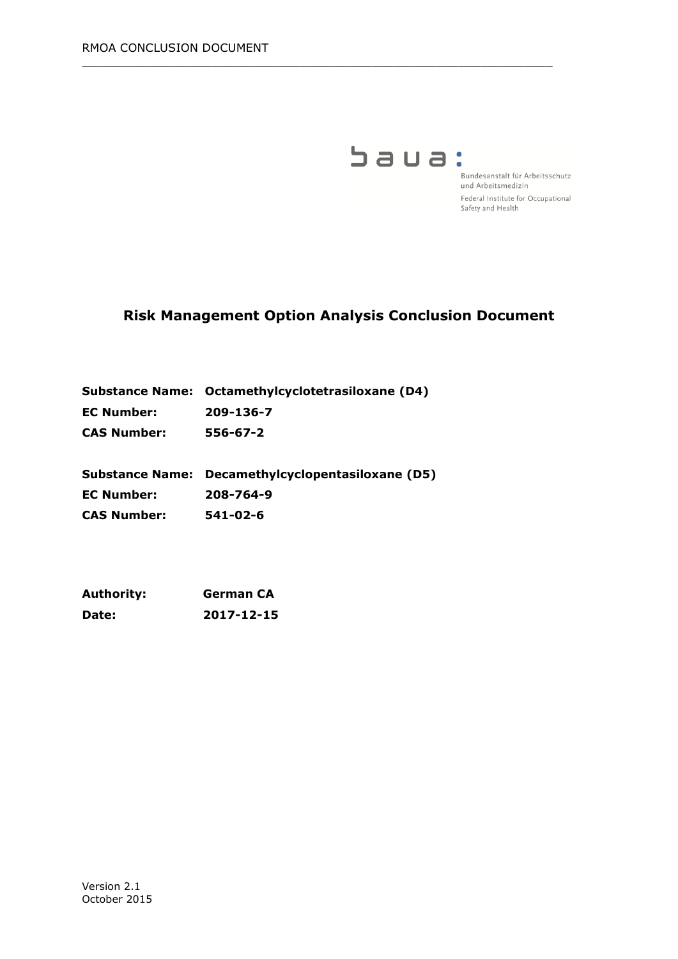

Bundesanstalt für Arbeitsschutz und Arbeitsmedizin Federal Institute for Occupational Safety and Health

# **Risk Management Option Analysis Conclusion Document**

 $\_$  , and the set of the set of the set of the set of the set of the set of the set of the set of the set of the set of the set of the set of the set of the set of the set of the set of the set of the set of the set of th

| Substance Name: Octamethylcyclotetrasiloxane (D4) |
|---------------------------------------------------|
| 209-136-7                                         |
| 556-67-2                                          |
|                                                   |

**Substance Name: Decamethylcyclopentasiloxane (D5) EC Number: 208-764-9 CAS Number: 541-02-6**

| <b>Authority:</b> | <b>German CA</b> |
|-------------------|------------------|
| Date:             | 2017-12-15       |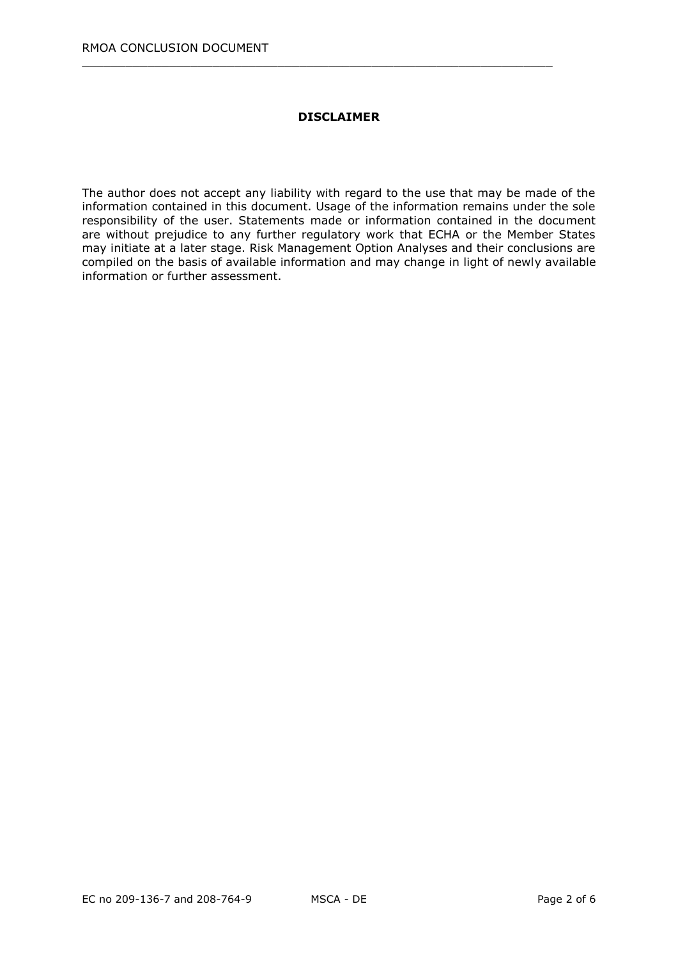### **DISCLAIMER**

 $\_$  , and the set of the set of the set of the set of the set of the set of the set of the set of the set of the set of the set of the set of the set of the set of the set of the set of the set of the set of the set of th

The author does not accept any liability with regard to the use that may be made of the information contained in this document. Usage of the information remains under the sole responsibility of the user. Statements made or information contained in the document are without prejudice to any further regulatory work that ECHA or the Member States may initiate at a later stage. Risk Management Option Analyses and their conclusions are compiled on the basis of available information and may change in light of newly available information or further assessment.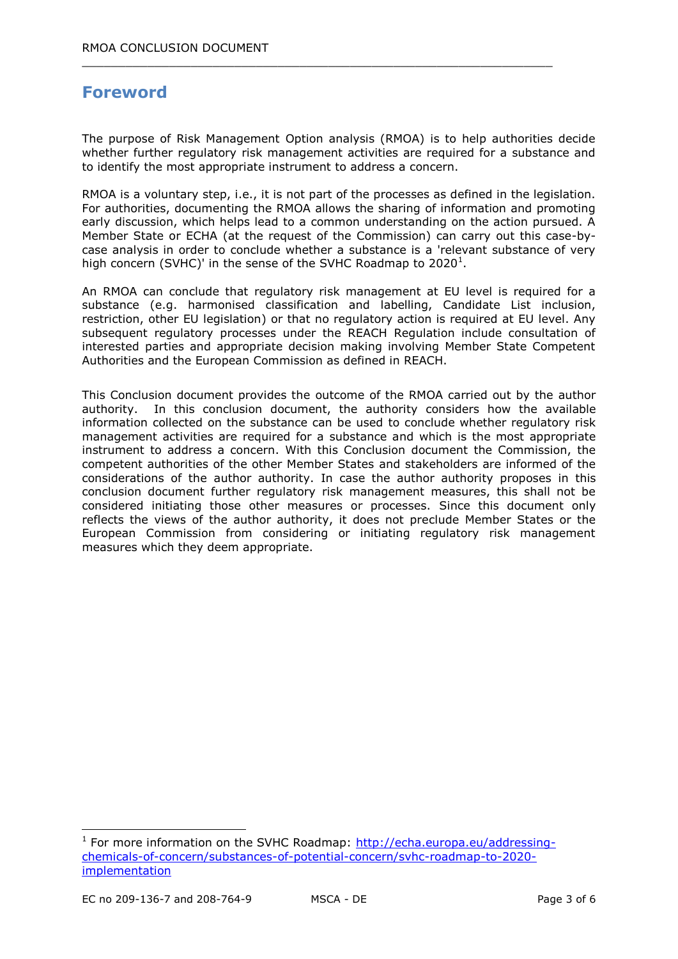# **Foreword**

The purpose of Risk Management Option analysis (RMOA) is to help authorities decide whether further regulatory risk management activities are required for a substance and to identify the most appropriate instrument to address a concern.

 $\_$  , and the set of the set of the set of the set of the set of the set of the set of the set of the set of the set of the set of the set of the set of the set of the set of the set of the set of the set of the set of th

RMOA is a voluntary step, i.e., it is not part of the processes as defined in the legislation. For authorities, documenting the RMOA allows the sharing of information and promoting early discussion, which helps lead to a common understanding on the action pursued. A Member State or ECHA (at the request of the Commission) can carry out this case-bycase analysis in order to conclude whether a substance is a 'relevant substance of very high concern (SVHC)' in the sense of the SVHC Roadmap to 2020<sup>1</sup>.

An RMOA can conclude that regulatory risk management at EU level is required for a substance (e.g. harmonised classification and labelling, Candidate List inclusion, restriction, other EU legislation) or that no regulatory action is required at EU level. Any subsequent regulatory processes under the REACH Regulation include consultation of interested parties and appropriate decision making involving Member State Competent Authorities and the European Commission as defined in REACH.

This Conclusion document provides the outcome of the RMOA carried out by the author authority. In this conclusion document, the authority considers how the available information collected on the substance can be used to conclude whether regulatory risk management activities are required for a substance and which is the most appropriate instrument to address a concern. With this Conclusion document the Commission, the competent authorities of the other Member States and stakeholders are informed of the considerations of the author authority. In case the author authority proposes in this conclusion document further regulatory risk management measures, this shall not be considered initiating those other measures or processes. Since this document only reflects the views of the author authority, it does not preclude Member States or the European Commission from considering or initiating regulatory risk management measures which they deem appropriate.

-

<sup>&</sup>lt;sup>1</sup> For more information on the SVHC Roadmap: [http://echa.europa.eu/addressing](http://echa.europa.eu/addressing-chemicals-of-concern/substances-of-potential-concern/svhc-roadmap-to-2020-implementation)[chemicals-of-concern/substances-of-potential-concern/svhc-roadmap-to-2020](http://echa.europa.eu/addressing-chemicals-of-concern/substances-of-potential-concern/svhc-roadmap-to-2020-implementation) [implementation](http://echa.europa.eu/addressing-chemicals-of-concern/substances-of-potential-concern/svhc-roadmap-to-2020-implementation)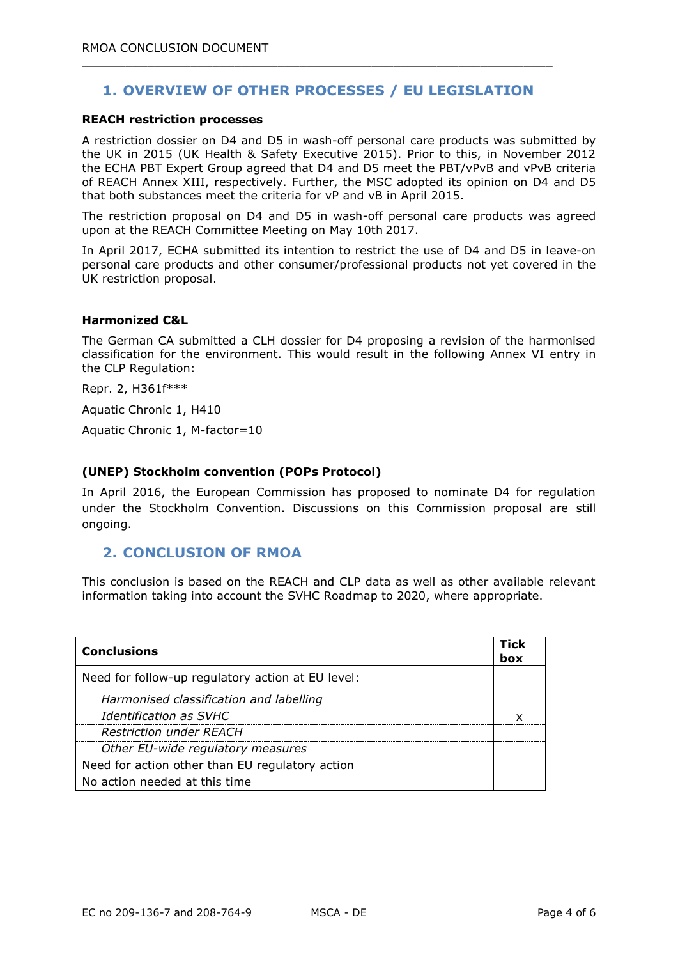## **1. OVERVIEW OF OTHER PROCESSES / EU LEGISLATION**

 $\_$  , and the set of the set of the set of the set of the set of the set of the set of the set of the set of the set of the set of the set of the set of the set of the set of the set of the set of the set of the set of th

#### **REACH restriction processes**

A restriction dossier on D4 and D5 in wash-off personal care products was submitted by the UK in 2015 (UK Health & Safety Executive 2015). Prior to this, in November 2012 the ECHA PBT Expert Group agreed that D4 and D5 meet the PBT/vPvB and vPvB criteria of REACH Annex XIII, respectively. Further, the MSC adopted its opinion on D4 and D5 that both substances meet the criteria for vP and vB in April 2015.

The restriction proposal on D4 and D5 in wash-off personal care products was agreed upon at the REACH Committee Meeting on May 10th 2017.

In April 2017, ECHA submitted its intention to restrict the use of D4 and D5 in leave-on personal care products and other consumer/professional products not yet covered in the UK restriction proposal.

#### **Harmonized C&L**

The German CA submitted a CLH dossier for D4 proposing a revision of the harmonised classification for the environment. This would result in the following Annex VI entry in the CLP Regulation:

Repr. 2, H361f\*\*\*

Aquatic Chronic 1, H410

Aquatic Chronic 1, M-factor=10

#### **(UNEP) Stockholm convention (POPs Protocol)**

In April 2016, the European Commission has proposed to nominate D4 for regulation under the Stockholm Convention. Discussions on this Commission proposal are still ongoing.

### **2. CONCLUSION OF RMOA**

This conclusion is based on the REACH and CLP data as well as other available relevant information taking into account the SVHC Roadmap to 2020, where appropriate.

| <b>Conclusions</b>                                | Tick<br>box |
|---------------------------------------------------|-------------|
| Need for follow-up regulatory action at EU level: |             |
| Harmonised classification and labelling           |             |
| <b>Identification as SVHC</b>                     |             |
| <b>Restriction under REACH</b>                    |             |
| Other EU-wide regulatory measures                 |             |
| Need for action other than EU regulatory action   |             |
| No action needed at this time                     |             |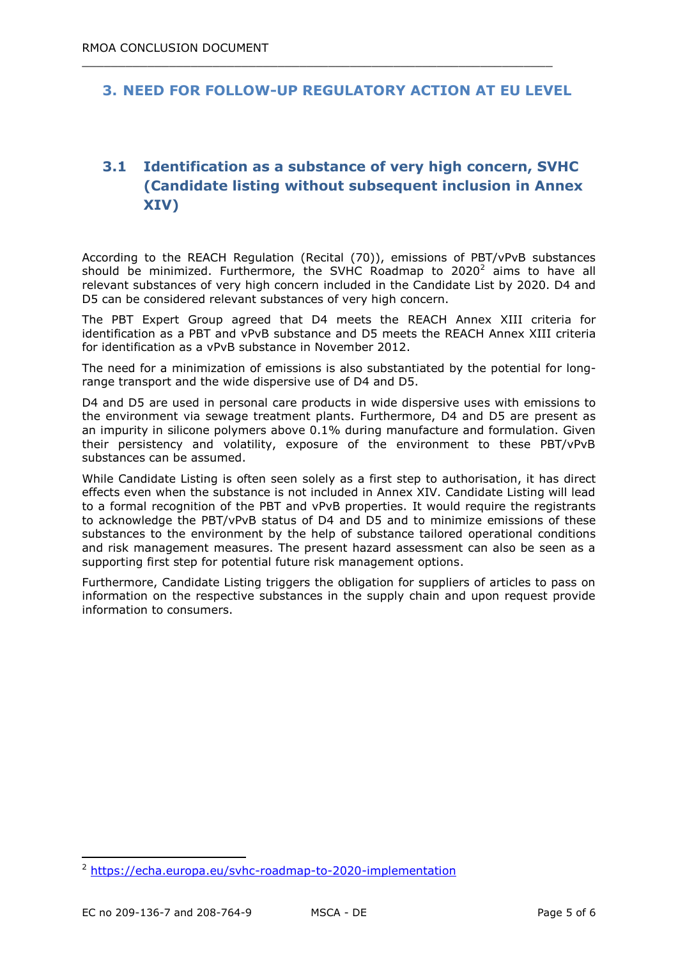### **3. NEED FOR FOLLOW-UP REGULATORY ACTION AT EU LEVEL**

 $\_$  , and the set of the set of the set of the set of the set of the set of the set of the set of the set of the set of the set of the set of the set of the set of the set of the set of the set of the set of the set of th

## **3.1 Identification as a substance of very high concern, SVHC (Candidate listing without subsequent inclusion in Annex XIV)**

According to the REACH Regulation (Recital (70)), emissions of PBT/vPvB substances should be minimized. Furthermore, the SVHC Roadmap to 2020<sup>2</sup> aims to have all relevant substances of very high concern included in the Candidate List by 2020. D4 and D5 can be considered relevant substances of very high concern.

The PBT Expert Group agreed that D4 meets the REACH Annex XIII criteria for identification as a PBT and vPvB substance and D5 meets the REACH Annex XIII criteria for identification as a vPvB substance in November 2012.

The need for a minimization of emissions is also substantiated by the potential for longrange transport and the wide dispersive use of D4 and D5.

D4 and D5 are used in personal care products in wide dispersive uses with emissions to the environment via sewage treatment plants. Furthermore, D4 and D5 are present as an impurity in silicone polymers above 0.1% during manufacture and formulation. Given their persistency and volatility, exposure of the environment to these PBT/vPvB substances can be assumed.

While Candidate Listing is often seen solely as a first step to authorisation, it has direct effects even when the substance is not included in Annex XIV. Candidate Listing will lead to a formal recognition of the PBT and vPvB properties. It would require the registrants to acknowledge the PBT/vPvB status of D4 and D5 and to minimize emissions of these substances to the environment by the help of substance tailored operational conditions and risk management measures. The present hazard assessment can also be seen as a supporting first step for potential future risk management options.

Furthermore, Candidate Listing triggers the obligation for suppliers of articles to pass on information on the respective substances in the supply chain and upon request provide information to consumers.

-

<sup>2</sup> <https://echa.europa.eu/svhc-roadmap-to-2020-implementation>